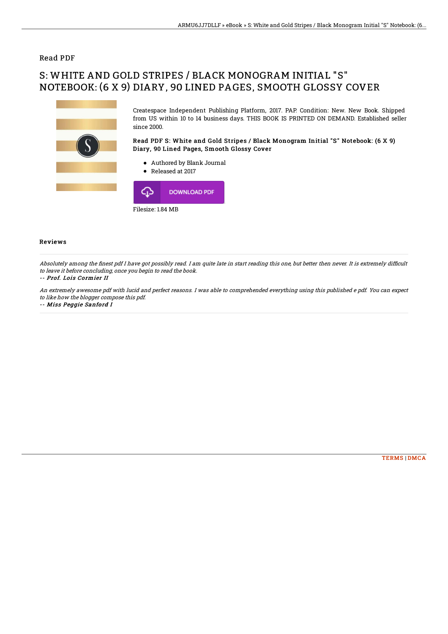### Read PDF

# S: WHITE AND GOLD STRIPES / BLACK MONOGRAM INITIAL "S" NOTEBOOK: (6 X 9) DIARY, 90 LINED PAGES, SMOOTH GLOSSY COVER



Createspace Independent Publishing Platform, 2017. PAP. Condition: New. New Book. Shipped from US within 10 to 14 business days. THIS BOOK IS PRINTED ON DEMAND. Established seller since 2000.

Read PDF S: White and Gold Stripes / Black Monogram Initial "S" Notebook: (6 X 9) Diary, 90 Lined Pages, Smooth Glossy Cover

- Authored by Blank Journal
- Released at 2017



#### Reviews

Absolutely among the finest pdf I have got possibly read. I am quite late in start reading this one, but better then never. It is extremely difficult to leave it before concluding, once you begin to read the book.

#### -- Prof. Lois Cormier II

An extremely awesome pdf with lucid and perfect reasons. I was able to comprehended everything using this published <sup>e</sup> pdf. You can expect to like how the blogger compose this pdf.

#### -- Miss Peggie Sanford I